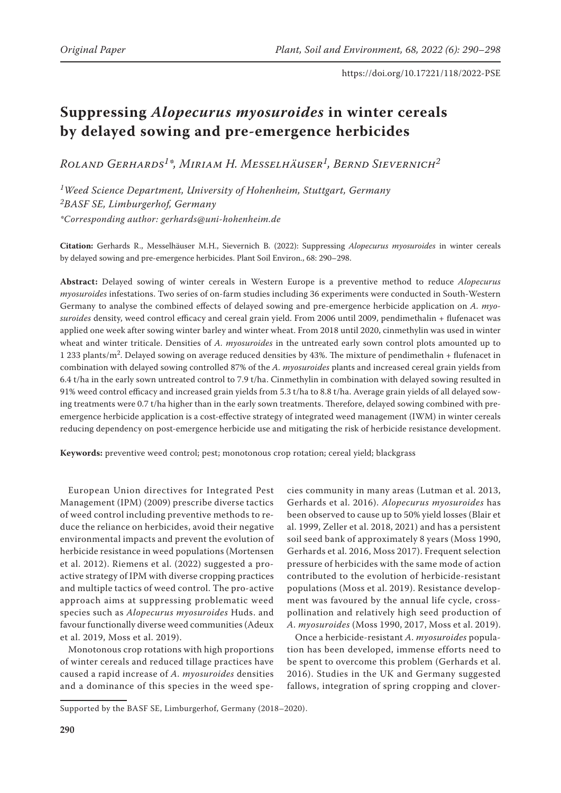# **Suppressing** *Alopecurus myosuroides* **in winter cereals by delayed sowing and pre-emergence herbicides**

*Roland Gerhards1\*, Miriam H. Messelhäuser1, Bernd Sievernich2*

*1Weed Science Department, University of Hohenheim, Stuttgart, Germany 2BASF SE, Limburgerhof, Germany \*Corresponding author: gerhards@uni-hohenheim.de*

**Citation:** Gerhards R., Messelhäuser M.H., Sievernich B. (2022): Suppressing *Alopecurus myosuroides* in winter cereals by delayed sowing and pre-emergence herbicides. Plant Soil Environ., 68: 290–298.

**Abstract:** Delayed sowing of winter cereals in Western Europe is a preventive method to reduce *Alopecurus myosuroides* infestations. Two series of on-farm studies including 36 experiments were conducted in South-Western Germany to analyse the combined effects of delayed sowing and pre-emergence herbicide application on *A. myosuroides* density, weed control efficacy and cereal grain yield. From 2006 until 2009, pendimethalin + flufenacet was applied one week after sowing winter barley and winter wheat. From 2018 until 2020, cinmethylin was used in winter wheat and winter triticale. Densities of *A. myosuroides* in the untreated early sown control plots amounted up to 1 233 plants/m2. Delayed sowing on average reduced densities by 43%. The mixture of pendimethalin + flufenacet in combination with delayed sowing controlled 87% of the *A. myosuroides* plants and increased cereal grain yields from 6.4 t/ha in the early sown untreated control to 7.9 t/ha. Cinmethylin in combination with delayed sowing resulted in 91% weed control efficacy and increased grain yields from 5.3 t/ha to 8.8 t/ha. Average grain yields of all delayed sowing treatments were 0.7 t/ha higher than in the early sown treatments. Therefore, delayed sowing combined with preemergence herbicide application is a cost-effective strategy of integrated weed management (IWM) in winter cereals reducing dependency on post-emergence herbicide use and mitigating the risk of herbicide resistance development.

**Keywords:** preventive weed control; pest; monotonous crop rotation; cereal yield; blackgrass

European Union directives for Integrated Pest Management (IPM) (2009) prescribe diverse tactics of weed control including preventive methods to reduce the reliance on herbicides, avoid their negative environmental impacts and prevent the evolution of herbicide resistance in weed populations (Mortensen et al. 2012). Riemens et al. (2022) suggested a proactive strategy of IPM with diverse cropping practices and multiple tactics of weed control. The pro-active approach aims at suppressing problematic weed species such as *Alopecurus myosuroides* Huds. and favour functionally diverse weed communities (Adeux et al. 2019, Moss et al. 2019).

Monotonous crop rotations with high proportions of winter cereals and reduced tillage practices have caused a rapid increase of *A. myosuroides* densities and a dominance of this species in the weed spe-

cies community in many areas (Lutman et al. 2013, Gerhards et al. 2016). *Alopecurus myosuroides* has been observed to cause up to 50% yield losses (Blair et al. 1999, Zeller et al. 2018, 2021) and has a persistent soil seed bank of approximately 8 years (Moss 1990, Gerhards et al. 2016, Moss 2017). Frequent selection pressure of herbicides with the same mode of action contributed to the evolution of herbicide-resistant populations (Moss et al. 2019). Resistance development was favoured by the annual life cycle, crosspollination and relatively high seed production of *A. myosuroides* (Moss 1990, 2017, Moss et al. 2019).

Once a herbicide-resistant *A. myosuroides* population has been developed, immense efforts need to be spent to overcome this problem (Gerhards et al. 2016). Studies in the UK and Germany suggested fallows, integration of spring cropping and clover-

Supported by the BASF SE, Limburgerhof, Germany (2018–2020).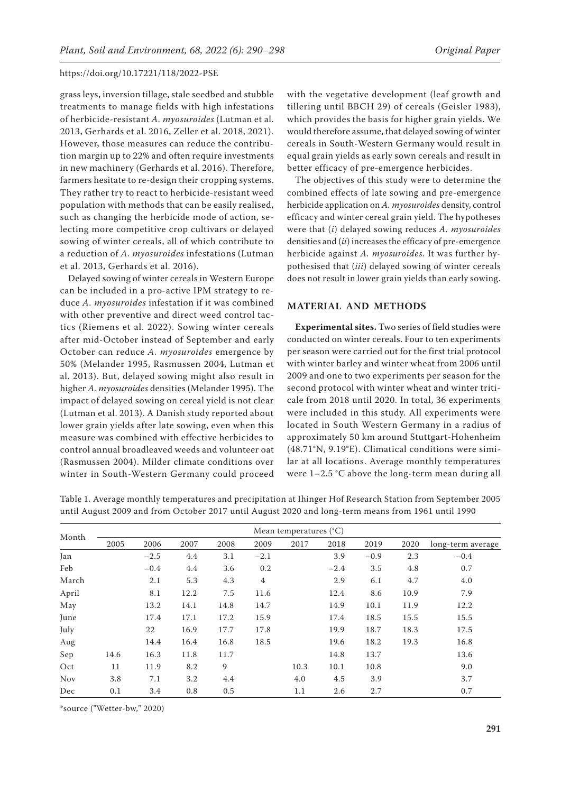grass leys, inversion tillage, stale seedbed and stubble treatments to manage fields with high infestations of herbicide-resistant *A. myosuroides* (Lutman et al. 2013, Gerhards et al. 2016, Zeller et al. 2018, 2021). However, those measures can reduce the contribution margin up to 22% and often require investments in new machinery (Gerhards et al. 2016). Therefore, farmers hesitate to re-design their cropping systems. They rather try to react to herbicide-resistant weed population with methods that can be easily realised, such as changing the herbicide mode of action, selecting more competitive crop cultivars or delayed sowing of winter cereals, all of which contribute to a reduction of *A. myosuroides* infestations (Lutman et al. 2013, Gerhards et al. 2016).

Delayed sowing of winter cereals in Western Europe can be included in a pro-active IPM strategy to reduce *A. myosuroides* infestation if it was combined with other preventive and direct weed control tactics (Riemens et al. 2022). Sowing winter cereals after mid-October instead of September and early October can reduce *A. myosuroides* emergence by 50% (Melander 1995, Rasmussen 2004, Lutman et al. 2013). But, delayed sowing might also result in higher *A. myosuroides* densities (Melander 1995). The impact of delayed sowing on cereal yield is not clear (Lutman et al. 2013). A Danish study reported about lower grain yields after late sowing, even when this measure was combined with effective herbicides to control annual broadleaved weeds and volunteer oat (Rasmussen 2004). Milder climate conditions over winter in South-Western Germany could proceed

with the vegetative development (leaf growth and tillering until BBCH 29) of cereals (Geisler 1983), which provides the basis for higher grain yields. We would therefore assume, that delayed sowing of winter cereals in South-Western Germany would result in equal grain yields as early sown cereals and result in better efficacy of pre-emergence herbicides.

The objectives of this study were to determine the combined effects of late sowing and pre-emergence herbicide application on *A. myosuroides* density, control efficacy and winter cereal grain yield. The hypotheses were that (*i*) delayed sowing reduces *A. myosuroides* densities and (*ii*) increases the efficacy of pre-emergence herbicide against *A. myosuroides*. It was further hypothesised that (*iii*) delayed sowing of winter cereals does not result in lower grain yields than early sowing.

### **MATERIAL AND METHODS**

**Experimental sites.** Two series of field studies were conducted on winter cereals. Four to ten experiments per season were carried out for the first trial protocol with winter barley and winter wheat from 2006 until 2009 and one to two experiments per season for the second protocol with winter wheat and winter triticale from 2018 until 2020. In total, 36 experiments were included in this study. All experiments were located in South Western Germany in a radius of approximately 50 km around Stuttgart-Hohenheim (48.71°N, 9.19°E). Climatical conditions were similar at all locations. Average monthly temperatures were 1–2.5 °C above the long-term mean during all

Table 1. Average monthly temperatures and precipitation at Ihinger Hof Research Station from September 2005 until August 2009 and from October 2017 until August 2020 and long-term means from 1961 until 1990

| Month      | Mean temperatures $(^{\circ}C)$ |        |      |      |                |      |        |        |      |                   |
|------------|---------------------------------|--------|------|------|----------------|------|--------|--------|------|-------------------|
|            | 2005                            | 2006   | 2007 | 2008 | 2009           | 2017 | 2018   | 2019   | 2020 | long-term average |
| Jan        |                                 | $-2.5$ | 4.4  | 3.1  | $-2.1$         |      | 3.9    | $-0.9$ | 2.3  | $-0.4$            |
| Feb        |                                 | $-0.4$ | 4.4  | 3.6  | 0.2            |      | $-2.4$ | 3.5    | 4.8  | 0.7               |
| March      |                                 | 2.1    | 5.3  | 4.3  | $\overline{4}$ |      | 2.9    | 6.1    | 4.7  | 4.0               |
| April      |                                 | 8.1    | 12.2 | 7.5  | 11.6           |      | 12.4   | 8.6    | 10.9 | 7.9               |
| May        |                                 | 13.2   | 14.1 | 14.8 | 14.7           |      | 14.9   | 10.1   | 11.9 | 12.2              |
| June       |                                 | 17.4   | 17.1 | 17.2 | 15.9           |      | 17.4   | 18.5   | 15.5 | 15.5              |
| July       |                                 | 22     | 16.9 | 17.7 | 17.8           |      | 19.9   | 18.7   | 18.3 | 17.5              |
| Aug        |                                 | 14.4   | 16.4 | 16.8 | 18.5           |      | 19.6   | 18.2   | 19.3 | 16.8              |
| Sep        | 14.6                            | 16.3   | 11.8 | 11.7 |                |      | 14.8   | 13.7   |      | 13.6              |
| Oct        | 11                              | 11.9   | 8.2  | 9    |                | 10.3 | 10.1   | 10.8   |      | 9.0               |
| <b>Nov</b> | 3.8                             | 7.1    | 3.2  | 4.4  |                | 4.0  | 4.5    | 3.9    |      | 3.7               |
| Dec        | 0.1                             | 3.4    | 0.8  | 0.5  |                | 1.1  | 2.6    | 2.7    |      | 0.7               |

\*source ("Wetter-bw," 2020)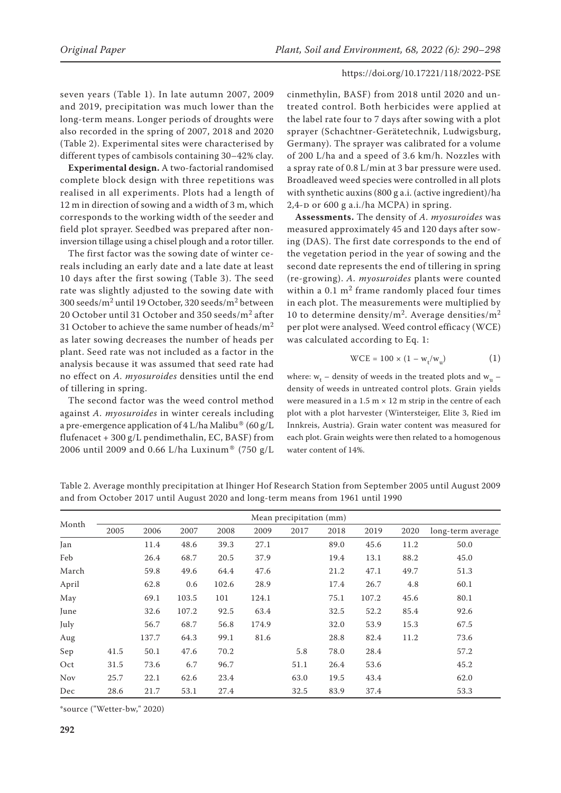seven years (Table 1). In late autumn 2007, 2009 and 2019, precipitation was much lower than the long-term means. Longer periods of droughts were also recorded in the spring of 2007, 2018 and 2020 (Table 2). Experimental sites were characterised by different types of cambisols containing 30–42% clay.

**Experimental design.** A two-factorial randomised complete block design with three repetitions was realised in all experiments. Plots had a length of 12 m in direction of sowing and a width of 3 m, which corresponds to the working width of the seeder and field plot sprayer. Seedbed was prepared after noninversion tillage using a chisel plough and a rotor tiller.

The first factor was the sowing date of winter cereals including an early date and a late date at least 10 days after the first sowing (Table 3). The seed rate was slightly adjusted to the sowing date with 300 seeds/m2 until 19 October, 320 seeds/m2 between 20 October until 31 October and 350 seeds/m<sup>2</sup> after 31 October to achieve the same number of heads/ $m^2$ as later sowing decreases the number of heads per plant. Seed rate was not included as a factor in the analysis because it was assumed that seed rate had no effect on *A. myosuroides* densities until the end of tillering in spring.

The second factor was the weed control method against *A. myosuroides* in winter cereals including a pre-emergence application of  $4$  L/ha Malibu® (60 g/L flufenacet + 300 g/L pendimethalin, EC, BASF) from 2006 until 2009 and 0.66 L/ha Luxinum® (750 g/L

cinmethylin, BASF) from 2018 until 2020 and untreated control. Both herbicides were applied at the label rate four to 7 days after sowing with a plot sprayer (Schachtner-Gerätetechnik, Ludwigsburg, Germany). The sprayer was calibrated for a volume of 200 L/ha and a speed of 3.6 km/h. Nozzles with a spray rate of 0.8 L/min at 3 bar pressure were used. Broadleaved weed species were controlled in all plots with synthetic auxins (800 g a.i. (active ingredient)/ha  $2,4$ -D or 600 g a.i./ha MCPA) in spring.

**Assessments.** The density of *A. myosuroides* was measured approximately 45 and 120 days after sowing (DAS). The first date corresponds to the end of the vegetation period in the year of sowing and the second date represents the end of tillering in spring (re-growing). *A. myosuroides* plants were counted within a  $0.1 \text{ m}^2$  frame randomly placed four times in each plot. The measurements were multiplied by 10 to determine density/m<sup>2</sup>. Average densities/m<sup>2</sup> per plot were analysed. Weed control efficacy (WCE) was calculated according to Eq. 1:

$$
WCE = 100 \times (1 - w_t/w_u)
$$
 (1)

where:  $w_t$  – density of weeds in the treated plots and  $w_u$  – density of weeds in untreated control plots. Grain yields were measured in a  $1.5 \text{ m} \times 12 \text{ m}$  strip in the centre of each plot with a plot harvester (Wintersteiger, Elite 3, Ried im Innkreis, Austria). Grain water content was measured for each plot. Grain weights were then related to a homogenous water content of 14%.

| Month      | Mean precipitation (mm) |       |       |       |       |      |      |       |      |                   |
|------------|-------------------------|-------|-------|-------|-------|------|------|-------|------|-------------------|
|            | 2005                    | 2006  | 2007  | 2008  | 2009  | 2017 | 2018 | 2019  | 2020 | long-term average |
| Jan        |                         | 11.4  | 48.6  | 39.3  | 27.1  |      | 89.0 | 45.6  | 11.2 | 50.0              |
| Feb        |                         | 26.4  | 68.7  | 20.5  | 37.9  |      | 19.4 | 13.1  | 88.2 | 45.0              |
| March      |                         | 59.8  | 49.6  | 64.4  | 47.6  |      | 21.2 | 47.1  | 49.7 | 51.3              |
| April      |                         | 62.8  | 0.6   | 102.6 | 28.9  |      | 17.4 | 26.7  | 4.8  | 60.1              |
| May        |                         | 69.1  | 103.5 | 101   | 124.1 |      | 75.1 | 107.2 | 45.6 | 80.1              |
| June       |                         | 32.6  | 107.2 | 92.5  | 63.4  |      | 32.5 | 52.2  | 85.4 | 92.6              |
| July       |                         | 56.7  | 68.7  | 56.8  | 174.9 |      | 32.0 | 53.9  | 15.3 | 67.5              |
| Aug        |                         | 137.7 | 64.3  | 99.1  | 81.6  |      | 28.8 | 82.4  | 11.2 | 73.6              |
| Sep        | 41.5                    | 50.1  | 47.6  | 70.2  |       | 5.8  | 78.0 | 28.4  |      | 57.2              |
| Oct        | 31.5                    | 73.6  | 6.7   | 96.7  |       | 51.1 | 26.4 | 53.6  |      | 45.2              |
| <b>Nov</b> | 25.7                    | 22.1  | 62.6  | 23.4  |       | 63.0 | 19.5 | 43.4  |      | 62.0              |
| Dec        | 28.6                    | 21.7  | 53.1  | 27.4  |       | 32.5 | 83.9 | 37.4  |      | 53.3              |

Table 2. Average monthly precipitation at Ihinger Hof Research Station from September 2005 until August 2009 and from October 2017 until August 2020 and long-term means from 1961 until 1990

\*source ("Wetter-bw," 2020)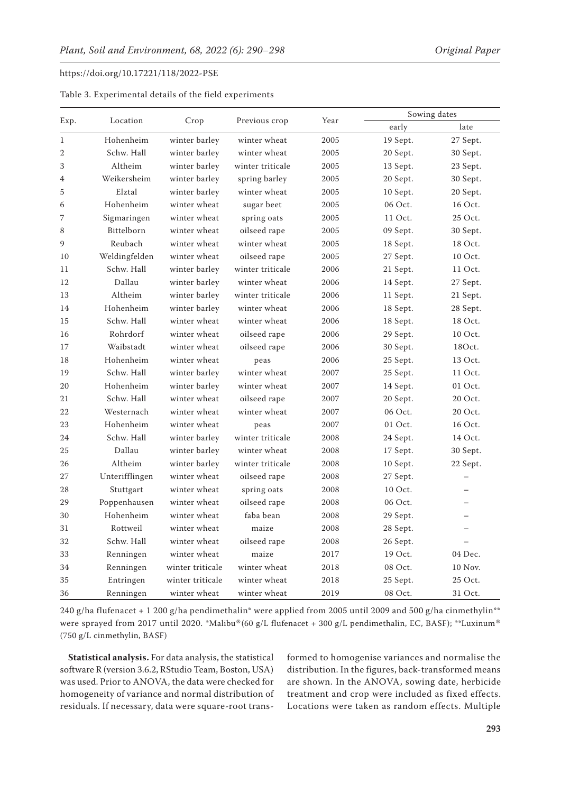| Table 3. Experimental details of the field experiments |  |  |  |  |
|--------------------------------------------------------|--|--|--|--|
|--------------------------------------------------------|--|--|--|--|

| Exp.           |                |                  |                  |      | Sowing dates |                          |  |
|----------------|----------------|------------------|------------------|------|--------------|--------------------------|--|
|                | Location       | Crop             | Previous crop    | Year | early        | late                     |  |
| $\mathbf{1}$   | Hohenheim      | winter barley    | winter wheat     | 2005 | 19 Sept.     | 27 Sept.                 |  |
| $\overline{2}$ | Schw. Hall     | winter barley    | winter wheat     | 2005 | 20 Sept.     | 30 Sept.                 |  |
| 3              | Altheim        | winter barley    | winter triticale | 2005 | 13 Sept.     | 23 Sept.                 |  |
| 4              | Weikersheim    | winter barley    | spring barley    | 2005 | 20 Sept.     | 30 Sept.                 |  |
| 5              | Elztal         | winter barley    | winter wheat     | 2005 | 10 Sept.     | 20 Sept.                 |  |
| 6              | Hohenheim      | winter wheat     | sugar beet       | 2005 | 06 Oct.      | 16 Oct.                  |  |
| 7              | Sigmaringen    | winter wheat     | spring oats      | 2005 | 11 Oct.      | 25 Oct.                  |  |
| 8              | Bittelborn     | winter wheat     | oilseed rape     | 2005 | 09 Sept.     | 30 Sept.                 |  |
| 9              | Reubach        | winter wheat     | winter wheat     | 2005 | 18 Sept.     | 18 Oct.                  |  |
| 10             | Weldingfelden  | winter wheat     | oilseed rape     | 2005 | 27 Sept.     | 10 Oct.                  |  |
| 11             | Schw. Hall     | winter barley    | winter triticale | 2006 | 21 Sept.     | 11 Oct.                  |  |
| 12             | Dallau         | winter barley    | winter wheat     | 2006 | 14 Sept.     | 27 Sept.                 |  |
| 13             | Altheim        | winter barley    | winter triticale | 2006 | 11 Sept.     | 21 Sept.                 |  |
| 14             | Hohenheim      | winter barley    | winter wheat     | 2006 | 18 Sept.     | 28 Sept.                 |  |
| 15             | Schw. Hall     | winter wheat     | winter wheat     | 2006 | 18 Sept.     | 18 Oct.                  |  |
| 16             | Rohrdorf       | winter wheat     | oilseed rape     | 2006 | 29 Sept.     | 10 Oct.                  |  |
| 17             | Waibstadt      | winter wheat     | oilseed rape     | 2006 | 30 Sept.     | 18Oct.                   |  |
| 18             | Hohenheim      | winter wheat     | peas             | 2006 | 25 Sept.     | 13 Oct.                  |  |
| 19             | Schw. Hall     | winter barley    | winter wheat     | 2007 | 25 Sept.     | 11 Oct.                  |  |
| 20             | Hohenheim      | winter barley    | winter wheat     | 2007 | 14 Sept.     | 01 Oct.                  |  |
| 21             | Schw. Hall     | winter wheat     | oilseed rape     | 2007 | 20 Sept.     | 20 Oct.                  |  |
| 22             | Westernach     | winter wheat     | winter wheat     | 2007 | 06 Oct.      | 20 Oct.                  |  |
| 23             | Hohenheim      | winter wheat     | peas             | 2007 | 01 Oct.      | 16 Oct.                  |  |
| 24             | Schw. Hall     | winter barley    | winter triticale | 2008 | 24 Sept.     | 14 Oct.                  |  |
| 25             | Dallau         | winter barley    | winter wheat     | 2008 | 17 Sept.     | 30 Sept.                 |  |
| 26             | Altheim        | winter barley    | winter triticale | 2008 | 10 Sept.     | 22 Sept.                 |  |
| 27             | Unterifflingen | winter wheat     | oilseed rape     | 2008 | 27 Sept.     | $\overline{\phantom{0}}$ |  |
| 28             | Stuttgart      | winter wheat     | spring oats      | 2008 | 10 Oct.      |                          |  |
| 29             | Poppenhausen   | winter wheat     | oilseed rape     | 2008 | 06 Oct.      |                          |  |
| 30             | Hohenheim      | winter wheat     | faba bean        | 2008 | 29 Sept.     |                          |  |
| 31             | Rottweil       | winter wheat     | maize            | 2008 | 28 Sept.     |                          |  |
| 32             | Schw. Hall     | winter wheat     | oilseed rape     | 2008 | 26 Sept.     |                          |  |
| 33             | Renningen      | winter wheat     | maize            | 2017 | 19 Oct.      | 04 Dec.                  |  |
| 34             | Renningen      | winter triticale | winter wheat     | 2018 | 08 Oct.      | 10 Nov.                  |  |
| 35             | Entringen      | winter triticale | winter wheat     | 2018 | 25 Sept.     | 25 Oct.                  |  |
| 36             | Renningen      | winter wheat     | winter wheat     | 2019 | 08 Oct.      | 31 Oct.                  |  |

240 g/ha flufenacet + 1 200 g/ha pendimethalin\* were applied from 2005 until 2009 and 500 g/ha cinmethylin\*\* were sprayed from 2017 until 2020. \*Malibu®(60 g/L flufenacet + 300 g/L pendimethalin, EC, BASF); \*\*Luxinum® (750 g/L cinmethylin, BASF)

**Statistical analysis.** For data analysis, the statistical software R (version 3.6.2, RStudio Team, Boston, USA) was used. Prior to ANOVA, the data were checked for homogeneity of variance and normal distribution of residuals. If necessary, data were square-root transformed to homogenise variances and normalise the distribution. In the figures, back-transformed means are shown. In the ANOVA, sowing date, herbicide treatment and crop were included as fixed effects. Locations were taken as random effects. Multiple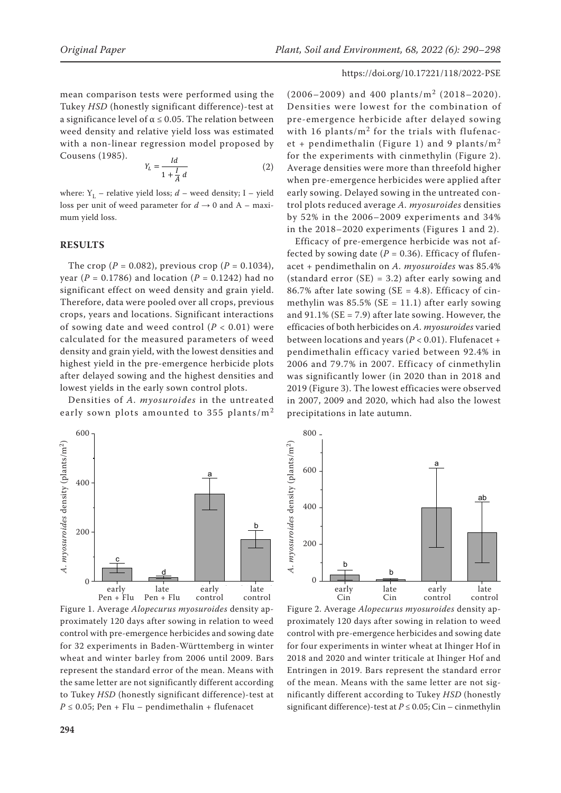mean comparison tests were performed using the Tukey *HSD* (honestly significant difference)-test at a significance level of  $\alpha \leq 0.05$ . The relation between weed density and relative yield loss was estimated with a non-linear regression model proposed by Cousens (1985).

$$
Y_L = \frac{Id}{1 + \frac{I}{A} d} \tag{2}
$$

where:  $Y_L$  – relative yield loss;  $d$  – weed density; I – yield loss per unit of weed parameter for  $d \rightarrow 0$  and A – maximum yield loss.

# **RESULTS**

The crop ( $P = 0.082$ ), previous crop ( $P = 0.1034$ ), year (*P* = 0.1786) and location (*P* = 0.1242) had no significant effect on weed density and grain yield. Therefore, data were pooled over all crops, previous crops, years and locations. Significant interactions of sowing date and weed control  $(P < 0.01)$  were calculated for the measured parameters of weed density and grain yield, with the lowest densities and highest yield in the pre-emergence herbicide plots after delayed sowing and the highest densities and lowest yields in the early sown control plots.

Densities of *A. myosuroides* in the untreated early sown plots amounted to 355 plants/ $m<sup>2</sup>$ 



Figure 1. Average *Alopecurus myosuroides* density approximately 120 days after sowing in relation to weed control with pre-emergence herbicides and sowing date for 32 experiments in Baden-Württemberg in winter wheat and winter barley from 2006 until 2009. Bars represent the standard error of the mean. Means with the same letter are not significantly different according to Tukey *HSD* (honestly significant difference)-test at  $P \le 0.05$ ; Pen + Flu – pendimethalin + flufenacet

# $(2006 - 2009)$  and 400 plants/m<sup>2</sup> (2018–2020). Densities were lowest for the combination of pre-emergence herbicide after delayed sowing with 16 plants/ $m^2$  for the trials with flufenacet + pendimethalin (Figure 1) and 9 plants/ $m<sup>2</sup>$ for the experiments with cinmethylin (Figure 2). Average densities were more than threefold higher when pre-emergence herbicides were applied after early sowing. Delayed sowing in the untreated control plots reduced average *A. myosuroides* densities by 52% in the 2006–2009 experiments and 34% in the 2018–2020 experiments (Figures 1 and 2).

Efficacy of pre-emergence herbicide was not affected by sowing date  $(P = 0.36)$ . Efficacy of flufenacet + pendimethalin on *A. myosuroides* was 85.4% (standard error (SE) = 3.2) after early sowing and 86.7% after late sowing ( $SE = 4.8$ ). Efficacy of cinmethylin was  $85.5\%$  (SE = 11.1) after early sowing and  $91.1\%$  (SE = 7.9) after late sowing. However, the efficacies of both herbicides on *A. myosuroides* varied between locations and years (*P* < 0.01). Flufenacet + pendimethalin efficacy varied between 92.4% in 2006 and 79.7% in 2007. Efficacy of cinmethylin was significantly lower (in 2020 than in 2018 and 2019 (Figure 3). The lowest efficacies were observed in 2007, 2009 and 2020, which had also the lowest precipitations in late autumn.



Figure 2. Average *Alopecurus myosuroides* density approximately 120 days after sowing in relation to weed control with pre-emergence herbicides and sowing date for four experiments in winter wheat at Ihinger Hof in 2018 and 2020 and winter triticale at Ihinger Hof and Entringen in 2019. Bars represent the standard error of the mean. Means with the same letter are not significantly different according to Tukey *HSD* (honestly significant difference)-test at *P* ≤ 0.05; Cin – cinmethylin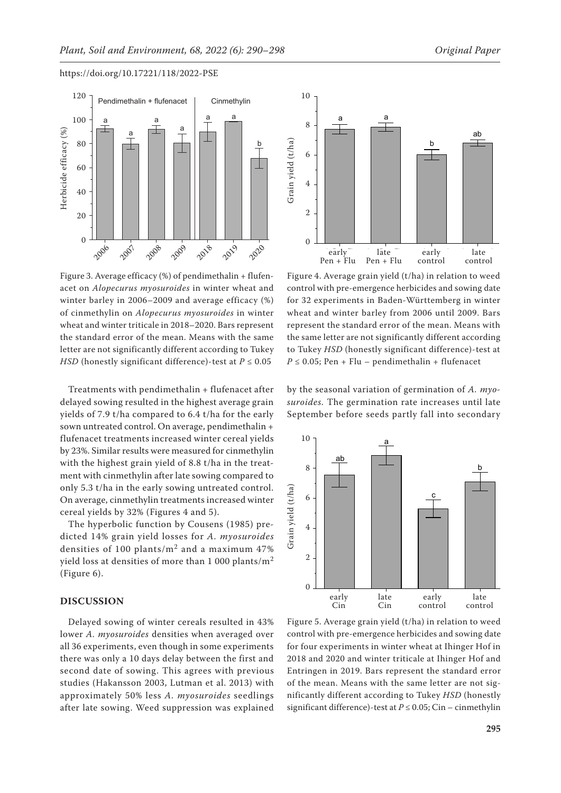

Figure 3. Average efficacy (%) of pendimethalin + flufenacet on *Alopecurus myosuroides* in winter wheat and winter barley in 2006–2009 and average efficacy (%) of cinmethylin on *Alopecurus myosuroides* in winter wheat and winter triticale in 2018–2020. Bars represent the standard error of the mean. Means with the same letter are not significantly different according to Tukey *HSD* (honestly significant difference)-test at  $P \le 0.05$ 

Treatments with pendimethalin + flufenacet after delayed sowing resulted in the highest average grain yields of 7.9 t/ha compared to 6.4 t/ha for the early sown untreated control. On average, pendimethalin + flufenacet treatments increased winter cereal yields by 23%. Similar results were measured for cinmethylin with the highest grain yield of 8.8 t/ha in the treatment with cinmethylin after late sowing compared to only 5.3 t/ha in the early sowing untreated control. On average, cinmethylin treatments increased winter cereal yields by 32% (Figures 4 and 5).

The hyperbolic function by Cousens (1985) predicted 14% grain yield losses for *A. myosuroides* densities of 100 plants/ $m^2$  and a maximum 47% yield loss at densities of more than 1 000 plants/ $m<sup>2</sup>$ (Figure 6).

# **DISCUSSION**

Delayed sowing of winter cereals resulted in 43% lower *A. myosuroides* densities when averaged over all 36 experiments, even though in some experiments there was only a 10 days delay between the first and second date of sowing. This agrees with previous studies (Hakansson 2003, Lutman et al. 2013) with approximately 50% less *A. myosuroides* seedlings after late sowing. Weed suppression was explained



Figure 4. Average grain yield (t/ha) in relation to weed control with pre-emergence herbicides and sowing date for 32 experiments in Baden-Württemberg in winter wheat and winter barley from 2006 until 2009. Bars represent the standard error of the mean. Means with the same letter are not significantly different according to Tukey *HSD* (honestly significant difference)-test at  $P \le 0.05$ ; Pen + Flu – pendimethalin + flufenacet

by the seasonal variation of germination of *A. myosuroides.* The germination rate increases until late September before seeds partly fall into secondary



Figure 5. Average grain yield (t/ha) in relation to weed control with pre-emergence herbicides and sowing date for four experiments in winter wheat at Ihinger Hof in 2018 and 2020 and winter triticale at Ihinger Hof and Entringen in 2019. Bars represent the standard error of the mean. Means with the same letter are not significantly different according to Tukey *HSD* (honestly significant difference)-test at *P* ≤ 0.05; Cin – cinmethylin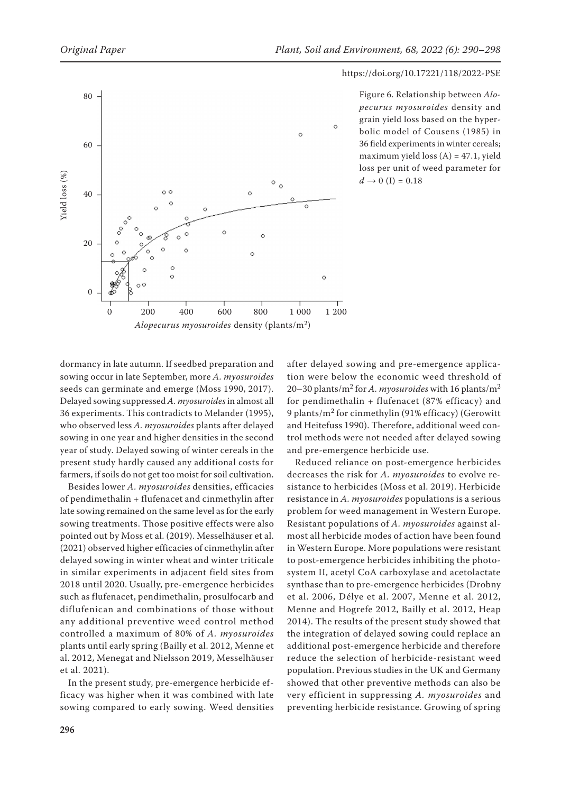

Figure 6. Relationship between *Alopecurus myosuroides* density and grain yield loss based on the hyperbolic model of Cousens (1985) in 36 field experiments in winter cereals; maximum yield loss  $(A) = 47.1$ , yield loss per unit of weed parameter for  $d \to 0$  (I) = 0.18

dormancy in late autumn. If seedbed preparation and sowing occur in late September, more *A. myosuroides*  seeds can germinate and emerge (Moss 1990, 2017). Delayed sowing suppressed *A. myosuroides* in almost all 36 experiments. This contradicts to Melander (1995), who observed less *A. myosuroides* plants after delayed sowing in one year and higher densities in the second year of study. Delayed sowing of winter cereals in the present study hardly caused any additional costs for farmers, if soils do not get too moist for soil cultivation.

Besides lower *A. myosuroides* densities, efficacies of pendimethalin + flufenacet and cinmethylin after late sowing remained on the same level as for the early sowing treatments. Those positive effects were also pointed out by Moss et al. (2019). Messelhäuser et al. (2021) observed higher efficacies of cinmethylin after delayed sowing in winter wheat and winter triticale in similar experiments in adjacent field sites from 2018 until 2020. Usually, pre-emergence herbicides such as flufenacet, pendimethalin, prosulfocarb and diflufenican and combinations of those without any additional preventive weed control method controlled a maximum of 80% of *A. myosuroides* plants until early spring (Bailly et al. 2012, Menne et al. 2012, Menegat and Nielsson 2019, Messelhäuser et al. 2021).

In the present study, pre-emergence herbicide efficacy was higher when it was combined with late sowing compared to early sowing. Weed densities after delayed sowing and pre-emergence application were below the economic weed threshold of 20–30 plants/m2 for *A. myosuroides* with 16 plants/m<sup>2</sup> for pendimethalin + flufenacet (87% efficacy) and 9 plants/m2 for cinmethylin (91% efficacy) (Gerowitt and Heitefuss 1990). Therefore, additional weed control methods were not needed after delayed sowing and pre-emergence herbicide use.

Reduced reliance on post-emergence herbicides decreases the risk for *A. myosuroides* to evolve resistance to herbicides (Moss et al. 2019). Herbicide resistance in *A. myosuroides* populations is a serious problem for weed management in Western Europe. Resistant populations of *A. myosuroides* against almost all herbicide modes of action have been found in Western Europe. More populations were resistant to post-emergence herbicides inhibiting the photosystem II, acetyl CoA carboxylase and acetolactate synthase than to pre-emergence herbicides (Drobny et al. 2006, Délye et al. 2007, Menne et al. 2012, Menne and Hogrefe 2012, Bailly et al. 2012, Heap 2014). The results of the present study showed that the integration of delayed sowing could replace an additional post-emergence herbicide and therefore reduce the selection of herbicide-resistant weed population. Previous studies in the UK and Germany showed that other preventive methods can also be very efficient in suppressing *A. myosuroides* and preventing herbicide resistance. Growing of spring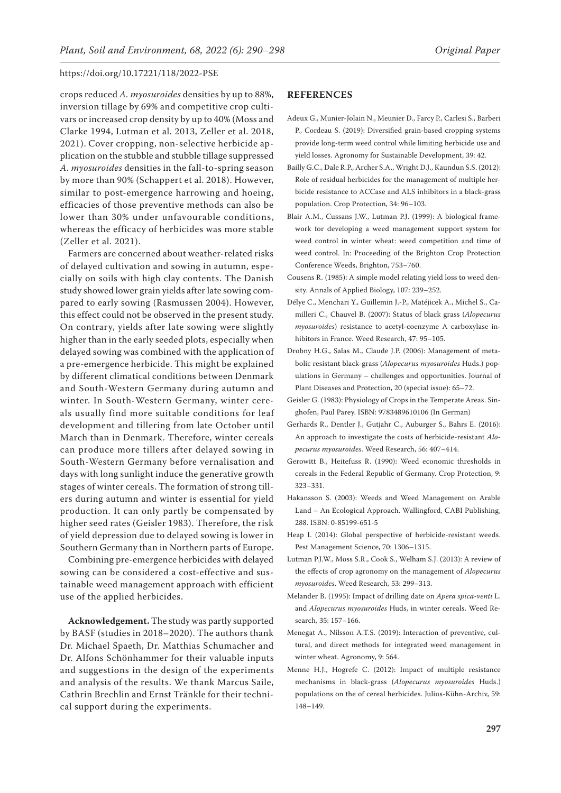crops reduced *A. myosuroides* densities by up to 88%, inversion tillage by 69% and competitive crop cultivars or increased crop density by up to 40% (Moss and Clarke 1994, Lutman et al. 2013, Zeller et al. 2018, 2021). Cover cropping, non-selective herbicide application on the stubble and stubble tillage suppressed *A. myosuroides* densities in the fall-to-spring season by more than 90% (Schappert et al. 2018). However, similar to post-emergence harrowing and hoeing, efficacies of those preventive methods can also be lower than 30% under unfavourable conditions, whereas the efficacy of herbicides was more stable (Zeller et al. 2021).

Farmers are concerned about weather-related risks of delayed cultivation and sowing in autumn, especially on soils with high clay contents. The Danish study showed lower grain yields after late sowing compared to early sowing (Rasmussen 2004). However, this effect could not be observed in the present study. On contrary, yields after late sowing were slightly higher than in the early seeded plots, especially when delayed sowing was combined with the application of a pre-emergence herbicide. This might be explained by different climatical conditions between Denmark and South-Western Germany during autumn and winter. In South-Western Germany, winter cereals usually find more suitable conditions for leaf development and tillering from late October until March than in Denmark. Therefore, winter cereals can produce more tillers after delayed sowing in South-Western Germany before vernalisation and days with long sunlight induce the generative growth stages of winter cereals. The formation of strong tillers during autumn and winter is essential for yield production. It can only partly be compensated by higher seed rates (Geisler 1983). Therefore, the risk of yield depression due to delayed sowing is lower in Southern Germany than in Northern parts of Europe.

Combining pre-emergence herbicides with delayed sowing can be considered a cost-effective and sustainable weed management approach with efficient use of the applied herbicides.

**Acknowledgement.** The study was partly supported by BASF (studies in 2018–2020). The authors thank Dr. Michael Spaeth, Dr. Matthias Schumacher and Dr. Alfons Schönhammer for their valuable inputs and suggestions in the design of the experiments and analysis of the results. We thank Marcus Saile, Cathrin Brechlin and Ernst Tränkle for their technical support during the experiments.

### **REFERENCES**

- Adeux G., Munier-Jolain N., Meunier D., Farcy P., Carlesi S., Barberi P., Cordeau S. (2019): Diversified grain-based cropping systems provide long-term weed control while limiting herbicide use and yield losses. Agronomy for Sustainable Development, 39: 42.
- Bailly G.C., Dale R.P., Archer S.A., Wright D.J., Kaundun S.S. (2012): Role of residual herbicides for the management of multiple herbicide resistance to ACCase and ALS inhibitors in a black-grass population. Crop Protection, 34: 96–103.
- Blair A.M., Cussans J.W., Lutman P.J. (1999): A biological framework for developing a weed management support system for weed control in winter wheat: weed competition and time of weed control. In: Proceeding of the Brighton Crop Protection Conference Weeds, Brighton, 753–760.
- Cousens R. (1985): A simple model relating yield loss to weed density. Annals of Applied Biology, 107: 239–252.
- Délye C., Menchari Y., Guillemin J.-P., Matéjicek A., Michel S., Camilleri C., Chauvel B. (2007): Status of black grass (*Alopecurus myosuroides*) resistance to acetyl-coenzyme A carboxylase inhibitors in France. Weed Research, 47: 95–105.
- Drobny H.G., Salas M., Claude J.P. (2006): Management of metabolic resistant black-grass (*Alopecurus myosuroides* Huds.) populations in Germany – challenges and opportunities. Journal of Plant Diseases and Protection, 20 (special issue): 65–72.
- Geisler G. (1983): Physiology of Crops in the Temperate Areas. Singhofen, Paul Parey. ISBN: 9783489610106 (In German)
- Gerhards R., Dentler J., Gutjahr C., Auburger S., Bahrs E. (2016): An approach to investigate the costs of herbicide-resistant *Alopecurus myosuroides*. Weed Research, 56: 407–414.
- Gerowitt B., Heitefuss R. (1990): Weed economic thresholds in cereals in the Federal Republic of Germany. Crop Protection, 9: 323–331.
- Hakansson S. (2003): Weeds and Weed Management on Arable Land – An Ecological Approach. Wallingford, CABI Publishing, 288. ISBN: 0-85199-651-5
- Heap I. (2014): Global perspective of herbicide-resistant weeds. Pest Management Science, 70: 1306–1315.
- Lutman P.J.W., Moss S.R., Cook S., Welham S.J. (2013): A review of the effects of crop agronomy on the management of *Alopecurus myosuroides*. Weed Research, 53: 299–313.
- Melander B. (1995): Impact of drilling date on *Apera spica-venti* L. and *Alopecurus myosuroides* Huds, in winter cereals. Weed Research, 35: 157–166.
- Menegat A., Nilsson A.T.S. (2019): Interaction of preventive, cultural, and direct methods for integrated weed management in winter wheat. Agronomy, 9: 564.
- Menne H.J., Hogrefe C. (2012): Impact of multiple resistance mechanisms in black-grass (*Alopecurus myosuroides* Huds.) populations on the of cereal herbicides. Julius-Kühn-Archiv, 59: 148–149.